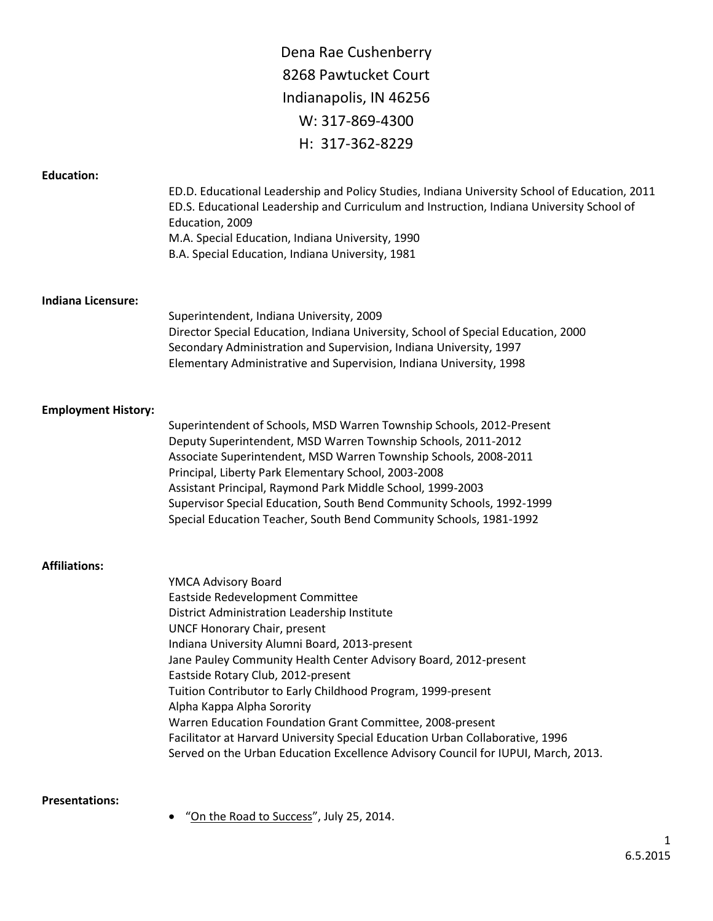Dena Rae Cushenberry 8268 Pawtucket Court Indianapolis, IN 46256 W: 317-869-4300 H: 317-362-8229

## **Education:**

|                            | ED.D. Educational Leadership and Policy Studies, Indiana University School of Education, 2011<br>ED.S. Educational Leadership and Curriculum and Instruction, Indiana University School of<br>Education, 2009<br>M.A. Special Education, Indiana University, 1990<br>B.A. Special Education, Indiana University, 1981 |
|----------------------------|-----------------------------------------------------------------------------------------------------------------------------------------------------------------------------------------------------------------------------------------------------------------------------------------------------------------------|
| <b>Indiana Licensure:</b>  |                                                                                                                                                                                                                                                                                                                       |
|                            | Superintendent, Indiana University, 2009<br>Director Special Education, Indiana University, School of Special Education, 2000                                                                                                                                                                                         |
|                            | Secondary Administration and Supervision, Indiana University, 1997                                                                                                                                                                                                                                                    |
|                            | Elementary Administrative and Supervision, Indiana University, 1998                                                                                                                                                                                                                                                   |
| <b>Employment History:</b> |                                                                                                                                                                                                                                                                                                                       |
|                            | Superintendent of Schools, MSD Warren Township Schools, 2012-Present                                                                                                                                                                                                                                                  |
|                            | Deputy Superintendent, MSD Warren Township Schools, 2011-2012                                                                                                                                                                                                                                                         |
|                            | Associate Superintendent, MSD Warren Township Schools, 2008-2011                                                                                                                                                                                                                                                      |
|                            | Principal, Liberty Park Elementary School, 2003-2008<br>Assistant Principal, Raymond Park Middle School, 1999-2003                                                                                                                                                                                                    |
|                            | Supervisor Special Education, South Bend Community Schools, 1992-1999                                                                                                                                                                                                                                                 |
|                            | Special Education Teacher, South Bend Community Schools, 1981-1992                                                                                                                                                                                                                                                    |
| <b>Affiliations:</b>       |                                                                                                                                                                                                                                                                                                                       |
|                            | YMCA Advisory Board                                                                                                                                                                                                                                                                                                   |
|                            | Eastside Redevelopment Committee                                                                                                                                                                                                                                                                                      |
|                            | District Administration Leadership Institute                                                                                                                                                                                                                                                                          |
|                            | <b>UNCF Honorary Chair, present</b>                                                                                                                                                                                                                                                                                   |
|                            | Indiana University Alumni Board, 2013-present                                                                                                                                                                                                                                                                         |

Jane Pauley Community Health Center Advisory Board, 2012-present

Eastside Rotary Club, 2012-present

Tuition Contributor to Early Childhood Program, 1999-present Alpha Kappa Alpha Sorority

Warren Education Foundation Grant Committee, 2008-present Facilitator at Harvard University Special Education Urban Collaborative, 1996 Served on the Urban Education Excellence Advisory Council for IUPUI, March, 2013.

## **Presentations:**

• "On the Road to Success", July 25, 2014.